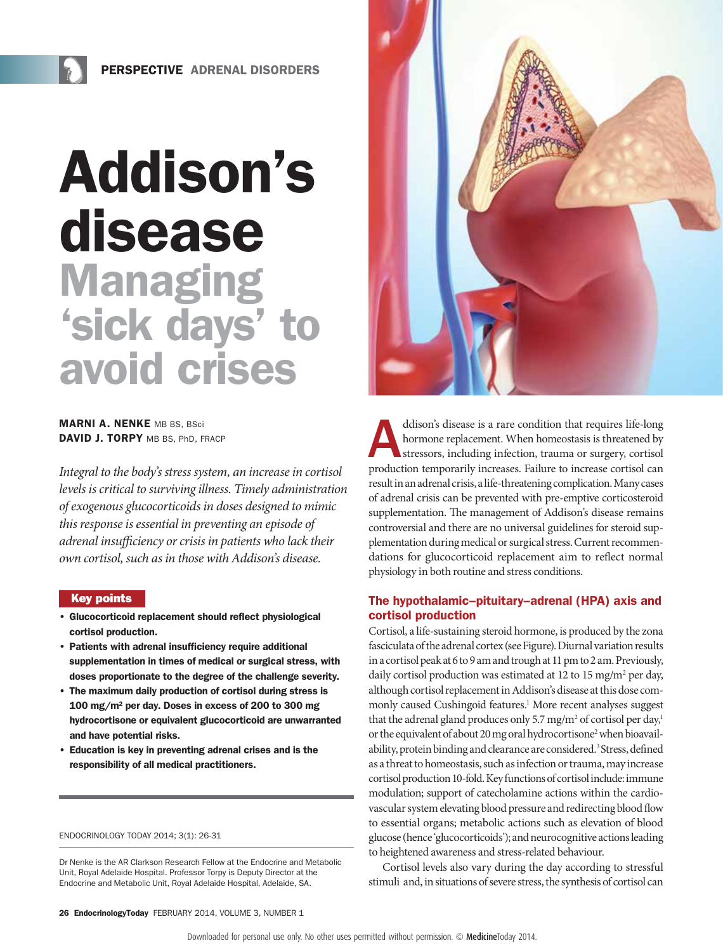# Addison's disease **Managing** 'sick days' to avoid crises

**MARNI A. NENKE MB BS, BSci** DAVID J. TORPY MB BS, PhD. FRACP

*Integral to the body's stress system, an increase in cortisol levels is critical to surviving illness. Timely administration of exogenous glucocorticoids in doses designed to mimic this response is essential in preventing an episode of adrenal insufficiency or crisis in patients who lack their own cortisol, such as in those with Addison's disease.*

#### Key points

- Glucocorticoid replacement should reflect physiological cortisol production.
- Patients with adrenal insufficiency require additional supplementation in times of medical or surgical stress, with doses proportionate to the degree of the challenge severity.
- The maximum daily production of cortisol during stress is 100 mg/m2 per day. Doses in excess of 200 to 300 mg hydrocortisone or equivalent glucocorticoid are unwarranted and have potential risks.
- Education is key in preventing adrenal crises and is the responsibility of all medical practitioners.

#### ENDOCRINOLOGY TODAY 2014; 3(1): 26-31

Dr Nenke is the AR Clarkson Research Fellow at the Endocrine and Metabolic The contract of the contract of the contract of the contract of the means of the Unit, Royal Adelaide Hospital. Professor Torpy is Deputy Director at the Endocrine and Metabolic Unit, Royal Adelaide Hospital, Adelaide, SA.



ddison's disease is a rare condition that requires life-long<br>hormone replacement. When homeostasis is threatened by<br>stressors, including infection, trauma or surgery, cortisol<br>production temporarily increases. Failure to i hormone replacement. When homeostasis is threatened by stressors, including infection, trauma or surgery, cortisol production temporarily increases. Failure to increase cortisol can result in an adrenal crisis, a life-threatening complication. Many cases of adrenal crisis can be prevented with pre-emptive corticosteroid supplementation. The management of Addison's disease remains controversial and there are no universal guidelines for steroid supplementation during medical or surgical stress. Current recommendations for glucocorticoid replacement aim to reflect normal physiology in both routine and stress conditions.

# The hypothalamic–pituitary–adrenal (HPA) axis and cortisol production

Cortisol, a life-sustaining steroid hormone, is produced by the zona fasciculata of the adrenal cortex (see Figure). Diurnal variation results in a cortisol peak at 6 to 9 am and trough at 11 pm to 2 am. Previously, daily cortisol production was estimated at 12 to 15 mg/m<sup>2</sup> per day, although cortisol replacement in Addison's disease at this dose commonly caused Cushingoid features.<sup>1</sup> More recent analyses suggest that the adrenal gland produces only 5.7 mg/m<sup>2</sup> of cortisol per day,<sup>1</sup> or the equivalent of about 20 mg oral hydrocortisone<sup>2</sup> when bioavailability, protein binding and clearance are considered.<sup>3</sup> Stress, defined as a threat to homeostasis, such as infection or trauma, may increase cortisol production 10-fold. Key functions of cortisol include: immune modulation; support of catecholamine actions within the cardiovascular system elevating blood pressure and redirecting blood flow to essential organs; metabolic actions such as elevation of blood glucose (hence 'glucocorticoids'); and neurocognitive actions leading to heightened awareness and stress-related behaviour.

Cortisol levels also vary during the day according to stressful stimuli and, in situations of severe stress, the synthesis of cortisol can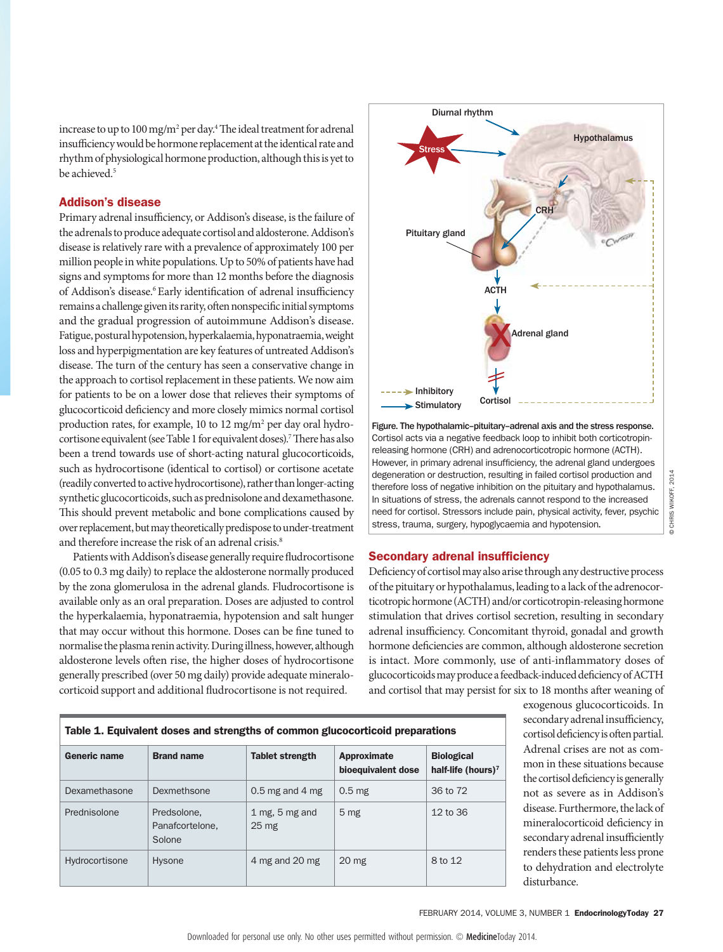increase to up to 100 mg/m<sup>2</sup> per day.<sup>4</sup> The ideal treatment for adrenal insufficiency would be hormone replacement at the identical rate and rhythm of physiological hormone production, although this is yet to be achieved.5

# Addison's disease

Primary adrenal insufficiency, or Addison's disease, is the failure of the adrenals to produce adequate cortisol and aldosterone. Addison's disease is relatively rare with a prevalence of approximately 100 per million people in white populations. Up to 50% of patients have had signs and symptoms for more than 12 months before the diagnosis of Addison's disease.<sup>6</sup> Early identification of adrenal insufficiency remains a challenge given its rarity, often nonspecific initial symptoms and the gradual progression of autoimmune Addison's disease. Fatigue, postural hypotension, hyperkalaemia, hyponatraemia, weight loss and hyperpigmentation are key features of untreated Addison's disease. The turn of the century has seen a conservative change in the approach to cortisol replacement in these patients. We now aim for patients to be on a lower dose that relieves their symptoms of glucocorticoid deficiency and more closely mimics normal cortisol production rates, for example, 10 to 12 mg/m<sup>2</sup> per day oral hydrocortisone equivalent (see Table 1 for equivalent doses).<sup>7</sup> There has also been a trend towards use of short-acting natural glucocorticoids, such as hydrocortisone (identical to cortisol) or cortisone acetate (readily converted to active hydrocortisone), rather than longer-acting synthetic glucocorticoids, such as prednisolone and dexamethasone. This should prevent metabolic and bone complications caused by over replacement, but may theoretically predispose to under-treatment and therefore increase the risk of an adrenal crisis.<sup>8</sup>

Patients with Addison's disease generally require fludrocortisone (0.05 to 0.3 mg daily) to replace the aldosterone normally produced by the zona glomerulosa in the adrenal glands. Fludrocortisone is available only as an oral preparation. Doses are adjusted to control the hyperkalaemia, hyponatraemia, hypotension and salt hunger that may occur without this hormone. Doses can be fine tuned to normalise the plasma renin activity. During illness, however, although aldosterone levels often rise, the higher doses of hydrocortisone generally prescribed (over 50 mg daily) provide adequate mineralocorticoid support and additional fludrocortisone is not required.



Figure. The hypothalamic–pituitary–adrenal axis and the stress response. Cortisol acts via a negative feedback loop to inhibit both corticotropinreleasing hormone (CRH) and adrenocorticotropic hormone (ACTH). However, in primary adrenal insufficiency, the adrenal gland undergoes degeneration or destruction, resulting in failed cortisol production and therefore loss of negative inhibition on the pituitary and hypothalamus. In situations of stress, the adrenals cannot respond to the increased need for cortisol. Stressors include pain, physical activity, fever, psychic stress, trauma, surgery, hypoglycaemia and hypotension.

# Secondary adrenal insufficiency

Deficiency of cortisol may also arise through any destructive process of the pituitary or hypothalamus, leading to a lack of the adrenocorticotropic hormone (ACTH) and/or corticotropin-releasing hormone stimulation that drives cortisol secretion, resulting in secondary adrenal insufficiency. Concomitant thyroid, gonadal and growth hormone deficiencies are common, although aldosterone secretion is intact. More commonly, use of anti-inflammatory doses of glucocorticoids may produce a feedback-induced deficiency of ACTH and cortisol that may persist for six to 18 months after weaning of

| Table 1. Equivalent doses and strengths of common glucocorticoid preparations |                                          |                                      |                                   |                                                     |  |  |
|-------------------------------------------------------------------------------|------------------------------------------|--------------------------------------|-----------------------------------|-----------------------------------------------------|--|--|
| Generic name                                                                  | <b>Brand name</b>                        | <b>Tablet strength</b>               | Approximate<br>bioequivalent dose | <b>Biological</b><br>half-life (hours) <sup>7</sup> |  |  |
| Dexamethasone                                                                 | Dexmethsone                              | $0.5$ mg and 4 mg                    | 0.5 <sub>mg</sub>                 | 36 to 72                                            |  |  |
| Prednisolone                                                                  | Predsolone.<br>Panafcortelone.<br>Solone | 1 mg, $5$ mg and<br>25 <sub>mg</sub> | 5 <sub>mg</sub>                   | 12 to 36                                            |  |  |
| Hydrocortisone                                                                | Hysone                                   | 4 mg and 20 mg                       | 20 <sub>mg</sub>                  | 8 to 12                                             |  |  |

exogenous glucocorticoids. In secondary adrenal insufficiency, cortisol deficiency is often partial. Adrenal crises are not as common in these situations because the cortisol deficiency is generally not as severe as in Addison's disease. Furthermore, the lack of mineralocorticoid deficiency in secondary adrenal insufficiently renders these patients less prone to dehydration and electrolyte disturbance.

© CHRIS WIKOFF, 2014

© CHRIS WIKOFF, 2014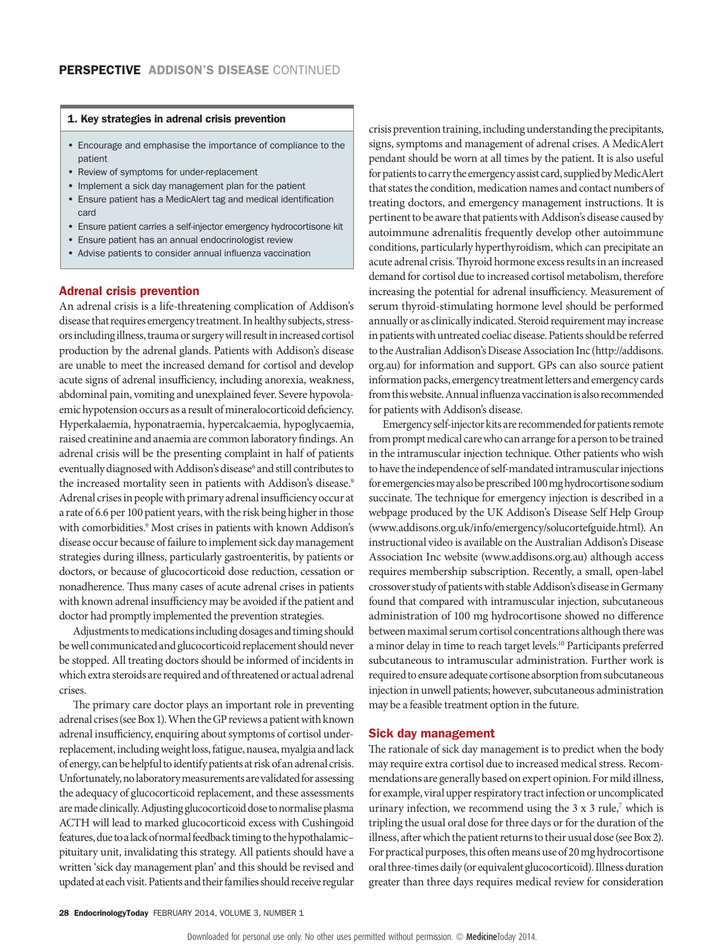### 1. Key strategies in adrenal crisis prevention

- Encourage and emphasise the importance of compliance to the patient
- Review of symptoms for under-replacement
- Implement a sick day management plan for the patient
- Ensure patient has a MedicAlert tag and medical identification card
- Ensure patient carries a self-injector emergency hydrocortisone kit
- Ensure patient has an annual endocrinologist review
- Advise patients to consider annual influenza vaccination

## Adrenal crisis prevention

An adrenal crisis is a life-threatening complication of Addison's disease that requires emergency treatment. In healthy subjects, stressors including illness, trauma or surgery will result in increased cortisol production by the adrenal glands. Patients with Addison's disease are unable to meet the increased demand for cortisol and develop acute signs of adrenal insufficiency, including anorexia, weakness, abdominal pain, vomiting and unexplained fever. Severe hypovolaemic hypotension occurs as a result of mineralocorticoid deficiency. Hyperkalaemia, hyponatraemia, hypercalcaemia, hypoglycaemia, raised creatinine and anaemia are common laboratory findings. An adrenal crisis will be the presenting complaint in half of patients eventually diagnosed with Addison's disease<sup>6</sup> and still contributes to the increased mortality seen in patients with Addison's disease.<sup>9</sup> Adrenal crises in people with primary adrenal insufficiency occur at a rate of 6.6 per 100 patient years, with the risk being higher in those with comorbidities.<sup>9</sup> Most crises in patients with known Addison's disease occur because of failure to implement sick day management strategies during illness, particularly gastroenteritis, by patients or doctors, or because of glucocorticoid dose reduction, cessation or nonadherence. Thus many cases of acute adrenal crises in patients with known adrenal insufficiency may be avoided if the patient and doctor had promptly implemented the prevention strategies.

Adjustments to medications including dosages and timing should be well communicated and glucocorticoid replacement should never be stopped. All treating doctors should be informed of incidents in which extra steroids are required and of threatened or actual adrenal crises.

The primary care doctor plays an important role in preventing adrenal crises (see Box 1). When the GP reviews a patient with known adrenal insufficiency, enquiring about symptoms of cortisol underreplacement, including weight loss, fatigue, nausea, myalgia and lack of energy, can be helpful to identify patients at risk of an adrenal crisis. Unfortunately, no laboratory measurements are validated for assessing the adequacy of glucocorticoid replacement, and these assessments are made clinically. Adjusting glucocorticoid dose to normalise plasma ACTH will lead to marked glucocorticoid excess with Cushingoid features, due to a lack of normal feedback timing to the hypothalamic– pituitary unit, invalidating this strategy. All patients should have a written 'sick day management plan' and this should be revised and updated at each visit. Patients and their families should receive regular

crisis prevention training, including understanding the precipitants, signs, symptoms and management of adrenal crises. A MedicAlert pendant should be worn at all times by the patient. It is also useful for patients to carry the emergency assist card, supplied by MedicAlert that states the condition, medication names and contact numbers of treating doctors, and emergency management instructions. It is pertinent to be aware that patients with Addison's disease caused by autoimmune adrenalitis frequently develop other autoimmune conditions, particularly hyperthyroidism, which can precipitate an acute adrenal crisis. Thyroid hormone excess results in an increased demand for cortisol due to increased cortisol metabolism, therefore increasing the potential for adrenal insufficiency. Measurement of serum thyroid-stimulating hormone level should be performed annually or as clinically indicated. Steroid requirement may increase in patients with untreated coeliac disease. Patients should be referred to the Australian Addison's Disease Association Inc ([http://addisons.](http://addisons.org.au) [org.au\)](http://addisons.org.au) for information and support. GPs can also source patient information packs, emergency treatment letters and emergency cards from this website. Annual influenza vaccination is also recommended for patients with Addison's disease.

Emergency self-injector kits are recommended for patients remote from prompt medical care who can arrange for a person to be trained in the intramuscular injection technique. Other patients who wish to have the independence of self-mandated intramuscular injections for emergencies may also be prescribed 100 mg hydrocortisone sodium succinate. The technique for emergency injection is described in a webpage produced by the UK Addison's Disease Self Help Group [\(www.addisons.org.uk/info/emergency/solucortefguide.html\)](http://www.addisons.org.uk/info/emergency/solucortefguide.html). An instructional video is available on the Australian Addison's Disease Association Inc website [\(www.addisons.org.au\)](http://www.addisons.org.au) although access requires membership subscription. Recently, a small, open-label crossover study of patients with stable Addison's disease in Germany found that compared with intramuscular injection, subcutaneous administration of 100 mg hydrocortisone showed no difference between maximal serum cortisol concentrations although there was a minor delay in time to reach target levels.<sup>10</sup> Participants preferred subcutaneous to intramuscular administration. Further work is required to ensure adequate cortisone absorption from subcutaneous injection in unwell patients; however, subcutaneous administration may be a feasible treatment option in the future.

# Sick day management

The rationale of sick day management is to predict when the body may require extra cortisol due to increased medical stress. Recommendations are generally based on expert opinion. For mild illness, for example, viral upper respiratory tract infection or uncomplicated urinary infection, we recommend using the  $3 \times 3$  rule,<sup>7</sup> which is tripling the usual oral dose for three days or for the duration of the illness, after which the patient returns to their usual dose (see Box 2). For practical purposes, this often means use of 20 mg hydrocortisone oral three-times daily (or equivalent glucocorticoid). Illness duration greater than three days requires medical review for consideration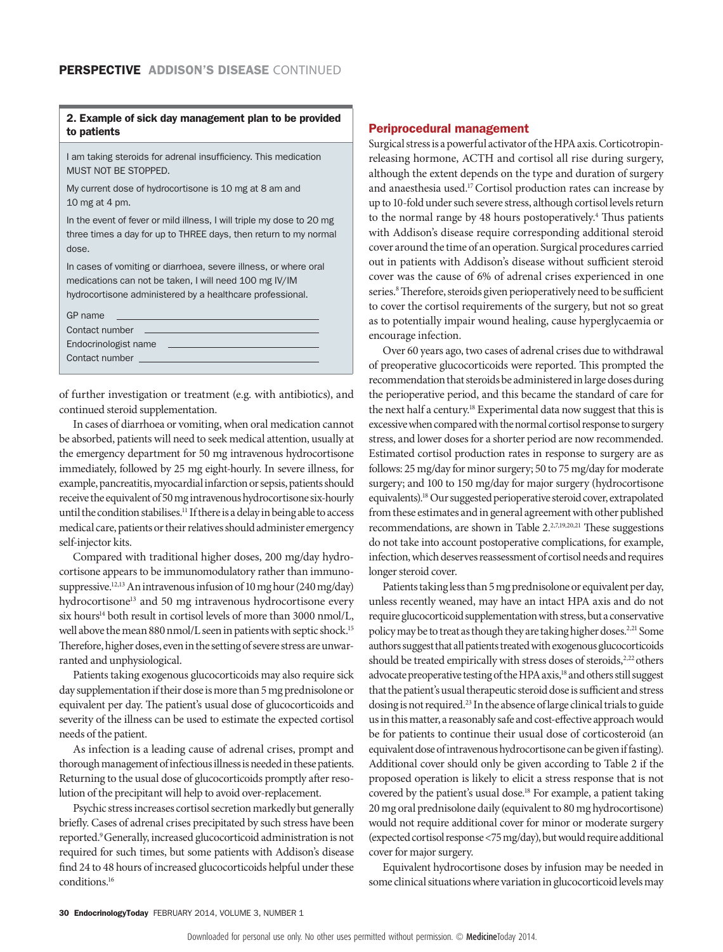# 2. Example of sick day management plan to be provided to patients

I am taking steroids for adrenal insufficiency. This medication MUST NOT BE STOPPED.

My current dose of hydrocortisone is 10 mg at 8 am and 10 mg at 4 pm.

In the event of fever or mild illness, I will triple my dose to 20 mg three times a day for up to THREE days, then return to my normal dose.

In cases of vomiting or diarrhoea, severe illness, or where oral medications can not be taken, I will need 100 mg IV/IM hydrocortisone administered by a healthcare professional.

| GP name<br>the control of the control of the control of the control of the control of the control of              |  |  |  |
|-------------------------------------------------------------------------------------------------------------------|--|--|--|
| Contact number<br>the control of the control of the control of the control of the control of the control of       |  |  |  |
| Endocrinologist name<br>the control of the control of the control of the control of the control of the control of |  |  |  |
| Contact number __________                                                                                         |  |  |  |
|                                                                                                                   |  |  |  |

of further investigation or treatment (e.g. with antibiotics), and continued steroid supplementation.

In cases of diarrhoea or vomiting, when oral medication cannot be absorbed, patients will need to seek medical attention, usually at the emergency department for 50 mg intravenous hydrocortisone immediately, followed by 25 mg eight-hourly. In severe illness, for example, pancreatitis, myocardial infarction or sepsis, patients should receive the equivalent of 50 mg intravenous hydrocortisone six-hourly until the condition stabilises.<sup>11</sup> If there is a delay in being able to access medical care, patients or their relatives should administer emergency self-injector kits.

Compared with traditional higher doses, 200 mg/day hydrocortisone appears to be immunomodulatory rather than immunosuppressive.12,13 An intravenous infusion of 10 mg hour (240 mg/day) hydrocortisone<sup>13</sup> and 50 mg intravenous hydrocortisone every six hours<sup>14</sup> both result in cortisol levels of more than 3000 nmol/L, well above the mean 880 nmol/L seen in patients with septic shock.<sup>15</sup> Therefore, higher doses, even in the setting of severe stress are unwarranted and unphysiological.

Patients taking exogenous glucocorticoids may also require sick day supplementation if their dose is more than 5 mg prednisolone or equivalent per day. The patient's usual dose of glucocorticoids and severity of the illness can be used to estimate the expected cortisol needs of the patient.

As infection is a leading cause of adrenal crises, prompt and thorough management of infectious illness is needed in these patients. Returning to the usual dose of glucocorticoids promptly after resolution of the precipitant will help to avoid over-replacement.

Psychic stress increases cortisol secretion markedly but generally briefly. Cases of adrenal crises precipitated by such stress have been reported.9 Generally, increased glucocorticoid administration is not required for such times, but some patients with Addison's disease find 24 to 48 hours of increased glucocorticoids helpful under these conditions.16

#### Periprocedural management

Surgical stress is a powerful activator of the HPA axis. Corticotropinreleasing hormone, ACTH and cortisol all rise during surgery, although the extent depends on the type and duration of surgery and anaesthesia used.17 Cortisol production rates can increase by up to 10-fold under such severe stress, although cortisol levels return to the normal range by 48 hours postoperatively.<sup>4</sup> Thus patients with Addison's disease require corresponding additional steroid cover around the time of an operation. Surgical procedures carried out in patients with Addison's disease without sufficient steroid cover was the cause of 6% of adrenal crises experienced in one series.<sup>8</sup> Therefore, steroids given perioperatively need to be sufficient to cover the cortisol requirements of the surgery, but not so great as to potentially impair wound healing, cause hyperglycaemia or encourage infection.

Over 60 years ago, two cases of adrenal crises due to withdrawal of preoperative glucocorticoids were reported. This prompted the recommendation that steroids be administered in large doses during the perioperative period, and this became the standard of care for the next half a century.<sup>18</sup> Experimental data now suggest that this is excessive when compared with the normal cortisol response to surgery stress, and lower doses for a shorter period are now recommended. Estimated cortisol production rates in response to surgery are as follows: 25 mg/day for minor surgery; 50 to 75 mg/day for moderate surgery; and 100 to 150 mg/day for major surgery (hydrocortisone equivalents).18 Our suggested perioperative steroid cover, extrapolated from these estimates and in general agreement with other published recommendations, are shown in Table 2.<sup>2,7,19,20,21</sup> These suggestions do not take into account postoperative complications, for example, infection, which deserves reassessment of cortisol needs and requires longer steroid cover.

Patients taking less than 5 mg prednisolone or equivalent per day, unless recently weaned, may have an intact HPA axis and do not require glucocorticoid supplementation with stress, but a conservative policy may be to treat as though they are taking higher doses.<sup>2,21</sup> Some authors suggest that all patients treated with exogenous glucocorticoids should be treated empirically with stress doses of steroids,<sup>2,22</sup> others advocate preoperative testing of the HPA axis,<sup>18</sup> and others still suggest that the patient's usual therapeutic steroid dose is sufficient and stress dosing is not required.<sup>23</sup> In the absence of large clinical trials to guide us in this matter, a reasonably safe and cost-effective approach would be for patients to continue their usual dose of corticosteroid (an equivalent dose of intravenous hydrocortisone can be given if fasting). Additional cover should only be given according to Table 2 if the proposed operation is likely to elicit a stress response that is not covered by the patient's usual dose.<sup>18</sup> For example, a patient taking 20 mg oral prednisolone daily (equivalent to 80 mg hydrocortisone) would not require additional cover for minor or moderate surgery (expected cortisol response <75 mg/day), but would require additional cover for major surgery.

Equivalent hydrocortisone doses by infusion may be needed in some clinical situations where variation in glucocorticoid levels may